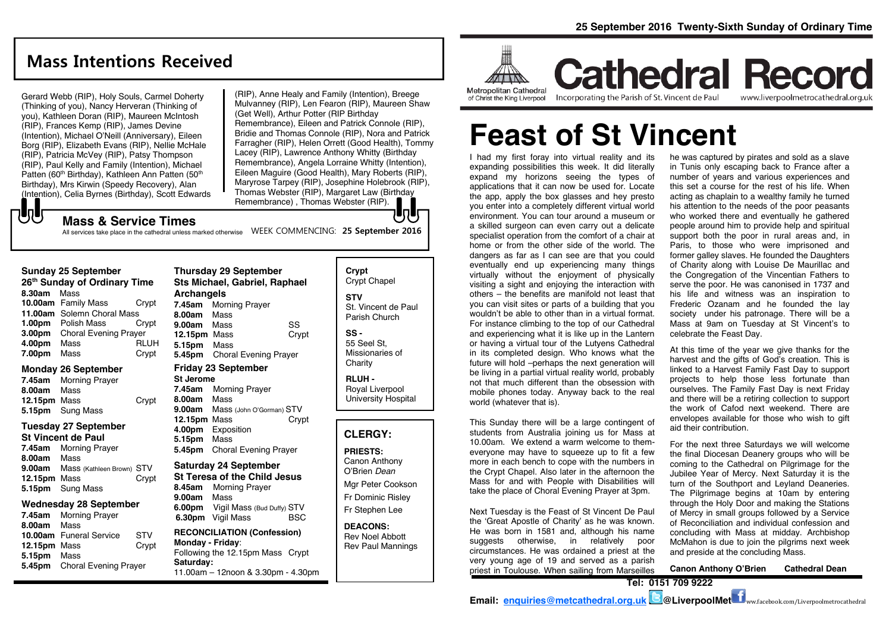# **Mass Intentions Received**

Gerard Webb (RIP), Holy Souls, Carmel Doherty (Thinking of you), Nancy Herveran (Thinking of you), Kathleen Doran (RIP), Maureen McIntosh (RIP), Frances Kemp (RIP), James Devine (Intention), Michael O'Neill (Anniversary), Eileen Borg (RIP), Elizabeth Evans (RIP), Nellie McHale (RIP), Patricia McVey (RIP), Patsy Thompson (RIP), Paul Kelly and Family (Intention), Michael Patten (60<sup>th</sup> Birthday), Kathleen Ann Patten (50<sup>th</sup>) Birthday), Mrs Kirwin (Speedy Recovery), Alan (Intention), Celia Byrnes (Birthday), Scott Edwards (RIP), Anne Healy and Family (Intention), Breege Mulvanney (RIP), Len Fearon (RIP), Maureen Shaw (Get Well), Arthur Potter (RIP Birthday Remembrance), Eileen and Patrick Connole (RIP), Bridie and Thomas Connole (RIP), Nora and Patrick Farragher (RIP), Helen Orrett (Good Health), Tommy Lacey (RIP), Lawrence Anthony Whitty (Birthday Remembrance), Angela Lorraine Whitty (Intention), Eileen Maguire (Good Health), Mary Roberts (RIP), Maryrose Tarpey (RIP), Josephine Holebrook (RIP), Thomas Webster (RIP), Margaret Law (Birthday Remembrance) , Thomas Webster (RIP).

### **Mass & Service Times**

All services take place in the cathedral unless marked otherwise MEEK COMMENCING: 25 September 2016

#### **Sunday 25 September**

もし

| 26 <sup>th</sup> Sunday of Ordinary Time |                              |             |  |  |
|------------------------------------------|------------------------------|-------------|--|--|
| 8.30am                                   | Mass                         |             |  |  |
|                                          | 10.00am Family Mass          | Crypt       |  |  |
|                                          | 11.00am Solemn Choral Mass   |             |  |  |
|                                          | 1.00pm Polish Mass           | Crypt       |  |  |
| 3.00pm                                   | <b>Choral Evening Prayer</b> |             |  |  |
| 4.00pm                                   | Mass                         | <b>RLUH</b> |  |  |
| 7.00pm                                   | Mass                         | Crypt       |  |  |

#### **Monday 26 September**

| 7.45am       | <b>Morning Prayer</b> |       |
|--------------|-----------------------|-------|
| 8.00am       | Mass                  |       |
| 12.15pm Mass |                       | Crypt |
|              | 5.15pm Sung Mass      |       |

### **Tuesday 27 September**

#### **St Vincent de Paul**

| 7.45am       | <b>Morning Prayer</b>            |       |
|--------------|----------------------------------|-------|
| 8.00am       | Mass                             |       |
|              | 9.00am Mass (Kathleen Brown) STV |       |
| 12.15pm Mass |                                  | Crypt |
|              | 5.15pm Sung Mass                 |       |

#### **Wednesday 28 September**

| 7.45am       | <b>Morning Prayer</b>        |            |
|--------------|------------------------------|------------|
| 8.00am       | Mass                         |            |
|              | 10.00am Funeral Service      | <b>STV</b> |
| 12.15pm Mass |                              | Crypt      |
| 5.15pm Mass  |                              |            |
|              | 5.45pm Choral Evening Prayer |            |
|              |                              |            |

### **Thursday 29 September Sts Michael, Gabriel, Raphael Archangels 7.45am** Morning Prayer **8.00am** Mass **9.00am** Mass SS<br>**12.15pm** Mass Crvpt **12.15pm Mass 5.15pm** Mass **5.45pm** Choral Evening Prayer

### **Friday 23 September**

**St Jerome 7.45am** Morning Prayer **8.00am** Mass **9.00am** Mass (John O'Gorman) STV **12.15pm** Mass Crypt **4.00pm** Exposition **5.15pm** Mass **5.45pm** Choral Evening Prayer

### **Saturday 24 September**

### **St Teresa of the Child Jesus 8.45am** Morning Prayer

**9.00am** Mass **6.00pm** Vigil Mass (Bud Duffy) STV **6.30pm** Vigil Mass BSC

#### **RECONCILIATION (Confession) Monday - Friday**: Following the 12.15pm Mass Crypt **Saturday:** 11.00am – 12noon & 3.30pm - 4.30pm

**Crypt**  Crypt Chapel **STV** St. Vincent de Paul Parish Church

**SS -** 55 Seel St, Missionaries of

Charity **RLUH -** Royal Liverpool University Hospital

### **CLERGY:**

### **PRIESTS:**

Canon Anthony O'Brien *Dean*

Mgr Peter Cookson Fr Dominic Risley Fr Stephen Lee

**DEACONS:** Rev Noel Abbott Rev Paul Mannings



# **Cathedral Record** Incorporating the Parish of St. Vincent de Paul www.liverpoolmetrocathedral.org.uk

**Feast of St Vincent**

I had my first foray into virtual reality and its expanding possibilities this week. It did literally expand my horizons seeing the types of applications that it can now be used for. Locate the app, apply the box glasses and hey presto you enter into a completely different virtual world environment. You can tour around a museum or a skilled surgeon can even carry out a delicate specialist operation from the comfort of a chair at home or from the other side of the world. The dangers as far as I can see are that you could eventually end up experiencing many things virtually without the enjoyment of physically visiting a sight and enjoying the interaction with others – the benefits are manifold not least that you can visit sites or parts of a building that you wouldn't be able to other than in a virtual format. For instance climbing to the top of our Cathedral and experiencing what it is like up in the Lantern or having a virtual tour of the Lutyens Cathedral in its completed design. Who knows what the future will hold –perhaps the next generation will be living in a partial virtual reality world, probably not that much different than the obsession with mobile phones today. Anyway back to the real world (whatever that is).

This Sunday there will be a large contingent of students from Australia joining us for Mass at 10.00am. We extend a warm welcome to themeveryone may have to squeeze up to fit a few more in each bench to cope with the numbers in the Crypt Chapel. Also later in the afternoon the Mass for and with People with Disabilities will take the place of Choral Evening Prayer at 3pm.

Next Tuesday is the Feast of St Vincent De Paul the 'Great Apostle of Charity' as he was known. He was born in 1581 and, although his name suggests otherwise, in relatively poor circumstances. He was ordained a priest at the very young age of 19 and served as a parish priest in Toulouse. When sailing from Marseilles

he was captured by pirates and sold as a slave in Tunis only escaping back to France after a number of years and various experiences and this set a course for the rest of his life. When acting as chaplain to a wealthy family he turned his attention to the needs of the poor peasants who worked there and eventually he gathered people around him to provide help and spiritual support both the poor in rural areas and, in Paris, to those who were imprisoned and former galley slaves. He founded the Daughters of Charity along with Louise De Maurillac and the Congregation of the Vincentian Fathers to serve the poor. He was canonised in 1737 and his life and witness was an inspiration to Frederic Ozanam and he founded the lay society under his patronage. There will be a Mass at 9am on Tuesday at St Vincent's to celebrate the Feast Day.

At this time of the year we give thanks for the harvest and the gifts of God's creation. This is linked to a Harvest Family Fast Day to support projects to help those less fortunate than ourselves. The Family Fast Day is next Friday and there will be a retiring collection to support the work of Cafod next weekend. There are envelopes available for those who wish to gift aid their contribution.

For the next three Saturdays we will welcome the final Diocesan Deanery groups who will be coming to the Cathedral on Pilgrimage for the Jubilee Year of Mercy. Next Saturday it is the turn of the Southport and Leyland Deaneries. The Pilgrimage begins at 10am by entering through the Holy Door and making the Stations of Mercy in small groups followed by a Service of Reconciliation and individual confession and concluding with Mass at midday. Archbishop McMahon is due to join the pilgrims next week and preside at the concluding Mass.

**Canon Anthony O'Brien Cathedral Dean**

**Tel: 0151 709 9222**